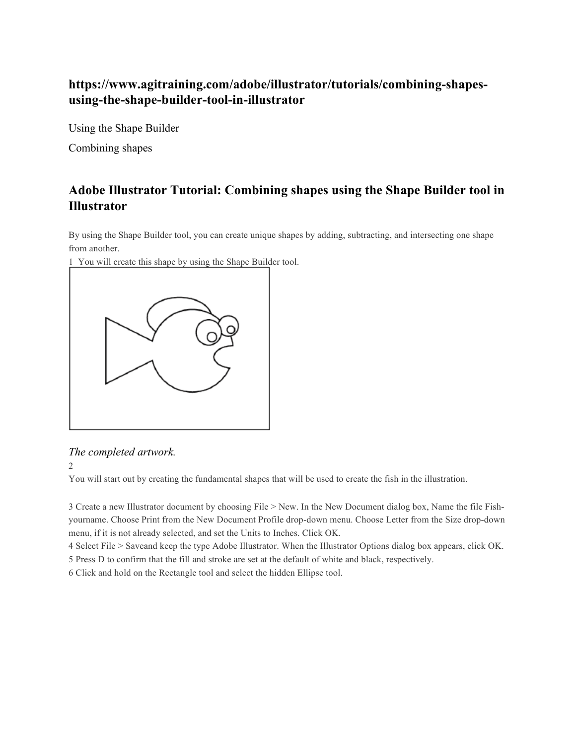# **https://www.agitraining.com/adobe/illustrator/tutorials/combining-shapesusing-the-shape-builder-tool-in-illustrator**

Using the Shape Builder

Combining shapes

# **Adobe Illustrator Tutorial: Combining shapes using the Shape Builder tool in Illustrator**

By using the Shape Builder tool, you can create unique shapes by adding, subtracting, and intersecting one shape from another.

1 You will create this shape by using the Shape Builder tool.



## *The completed artwork.*

2

You will start out by creating the fundamental shapes that will be used to create the fish in the illustration.

3 Create a new Illustrator document by choosing File > New. In the New Document dialog box, Name the file Fishyourname. Choose Print from the New Document Profile drop-down menu. Choose Letter from the Size drop-down menu, if it is not already selected, and set the Units to Inches. Click OK.

4 Select File > Saveand keep the type Adobe Illustrator. When the Illustrator Options dialog box appears, click OK. 5 Press D to confirm that the fill and stroke are set at the default of white and black, respectively.

6 Click and hold on the Rectangle tool and select the hidden Ellipse tool.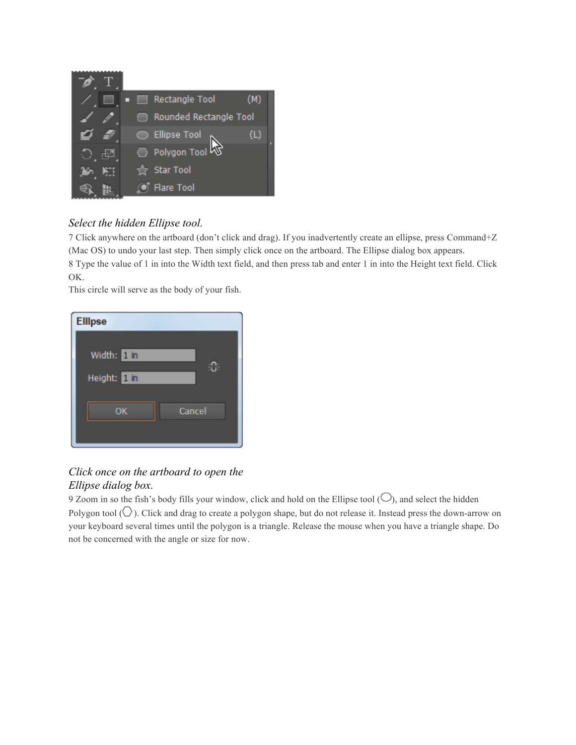

## *Select the hidden Ellipse tool.*

7 Click anywhere on the artboard (don't click and drag). If you inadvertently create an ellipse, press Command+Z (Mac OS) to undo your last step. Then simply click once on the artboard. The Ellipse dialog box appears. 8 Type the value of 1 in into the Width text field, and then press tab and enter 1 in into the Height text field. Click OK.

This circle will serve as the body of your fish.

| <b>Ellipse</b>              |  |
|-----------------------------|--|
| Width: 1 in<br>Height: 1 in |  |
| OK<br>Cancel                |  |

## *Click once on the artboard to open the Ellipse dialog box.*

9 Zoom in so the fish's body fills your window, click and hold on the Ellipse tool  $(O)$ , and select the hidden Polygon tool ( $\bigcirc$ ). Click and drag to create a polygon shape, but do not release it. Instead press the down-arrow on your keyboard several times until the polygon is a triangle. Release the mouse when you have a triangle shape. Do not be concerned with the angle or size for now.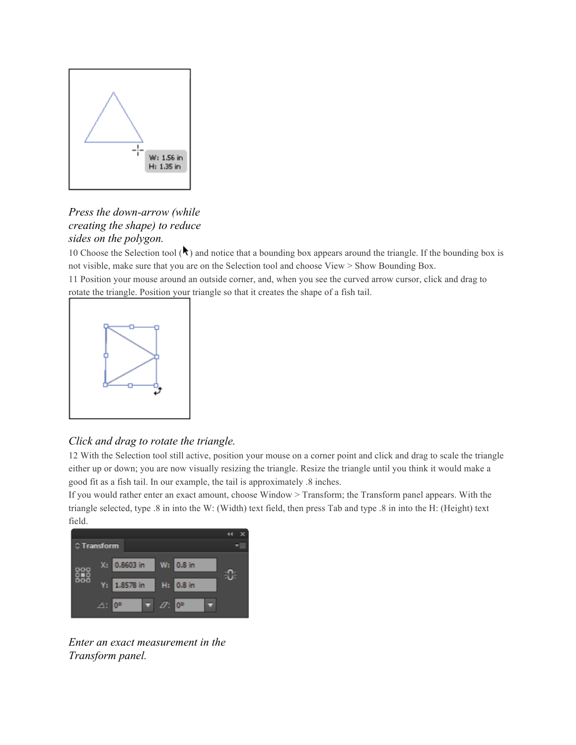

### *Press the down-arrow (while creating the shape) to reduce sides on the polygon.*

10 Choose the Selection tool  $(\lambda)$  and notice that a bounding box appears around the triangle. If the bounding box is not visible, make sure that you are on the Selection tool and choose View > Show Bounding Box.

11 Position your mouse around an outside corner, and, when you see the curved arrow cursor, click and drag to rotate the triangle. Position your triangle so that it creates the shape of a fish tail.



## *Click and drag to rotate the triangle.*

12 With the Selection tool still active, position your mouse on a corner point and click and drag to scale the triangle either up or down; you are now visually resizing the triangle. Resize the triangle until you think it would make a good fit as a fish tail. In our example, the tail is approximately .8 inches.

If you would rather enter an exact amount, choose Window > Transform; the Transform panel appears. With the triangle selected, type .8 in into the W: (Width) text field, then press Tab and type .8 in into the H: (Height) text field.



*Enter an exact measurement in the Transform panel.*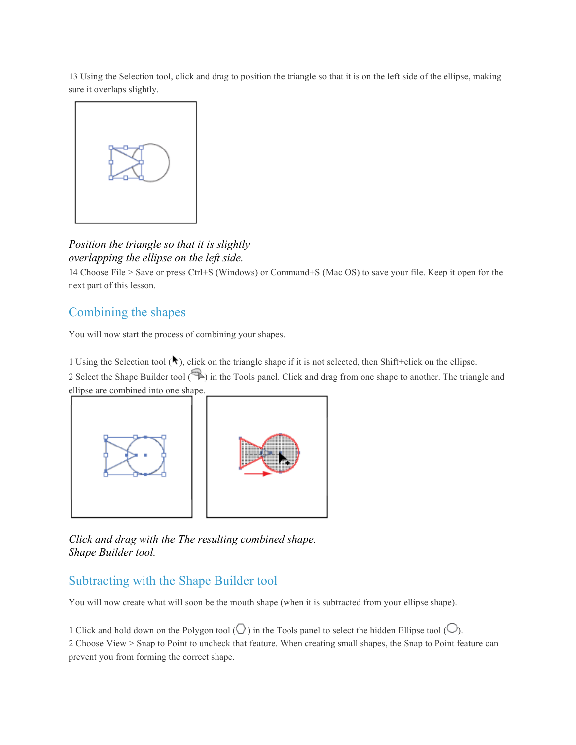13 Using the Selection tool, click and drag to position the triangle so that it is on the left side of the ellipse, making sure it overlaps slightly.



### *Position the triangle so that it is slightly overlapping the ellipse on the left side.*

14 Choose File > Save or press Ctrl+S (Windows) or Command+S (Mac OS) to save your file. Keep it open for the next part of this lesson.

## Combining the shapes

You will now start the process of combining your shapes.

1 Using the Selection tool  $(\star)$ , click on the triangle shape if it is not selected, then Shift+click on the ellipse.

2 Select the Shape Builder tool ( $\bigcirc$ ) in the Tools panel. Click and drag from one shape to another. The triangle and ellipse are combined into one shape.



*Click and drag with the The resulting combined shape. Shape Builder tool.*

## Subtracting with the Shape Builder tool

You will now create what will soon be the mouth shape (when it is subtracted from your ellipse shape).

1 Click and hold down on the Polygon tool  $\circlearrowleft$ ) in the Tools panel to select the hidden Ellipse tool  $\circlearrowright$ ). 2 Choose View > Snap to Point to uncheck that feature. When creating small shapes, the Snap to Point feature can prevent you from forming the correct shape.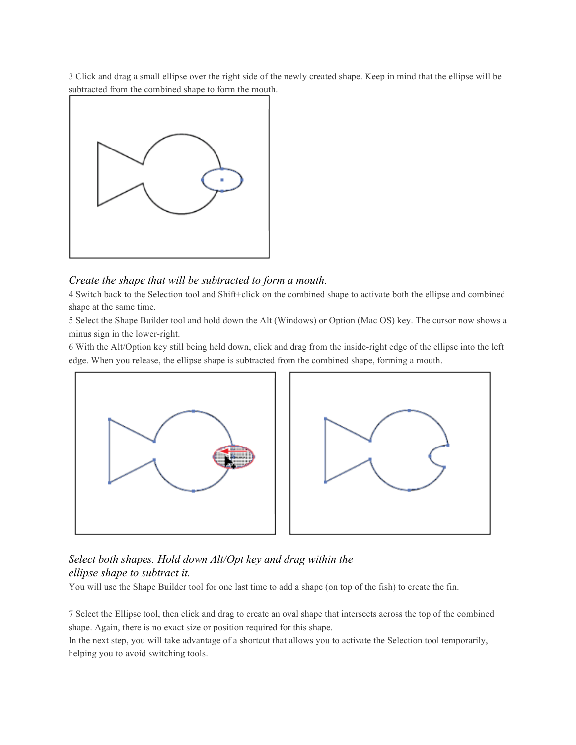3 Click and drag a small ellipse over the right side of the newly created shape. Keep in mind that the ellipse will be subtracted from the combined shape to form the mouth.



#### *Create the shape that will be subtracted to form a mouth.*

4 Switch back to the Selection tool and Shift+click on the combined shape to activate both the ellipse and combined shape at the same time.

5 Select the Shape Builder tool and hold down the Alt (Windows) or Option (Mac OS) key. The cursor now shows a minus sign in the lower-right.

6 With the Alt/Option key still being held down, click and drag from the inside-right edge of the ellipse into the left edge. When you release, the ellipse shape is subtracted from the combined shape, forming a mouth.



### *Select both shapes. Hold down Alt/Opt key and drag within the ellipse shape to subtract it.*

You will use the Shape Builder tool for one last time to add a shape (on top of the fish) to create the fin.

7 Select the Ellipse tool, then click and drag to create an oval shape that intersects across the top of the combined shape. Again, there is no exact size or position required for this shape.

In the next step, you will take advantage of a shortcut that allows you to activate the Selection tool temporarily, helping you to avoid switching tools.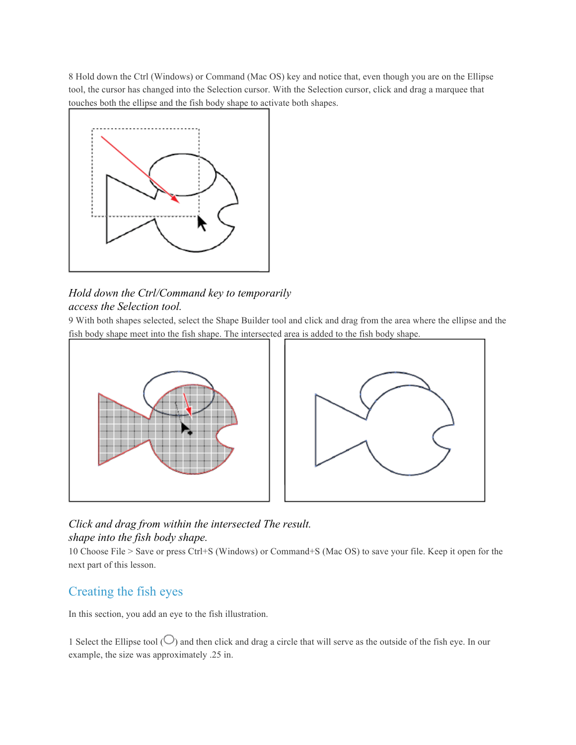8 Hold down the Ctrl (Windows) or Command (Mac OS) key and notice that, even though you are on the Ellipse tool, the cursor has changed into the Selection cursor. With the Selection cursor, click and drag a marquee that touches both the ellipse and the fish body shape to activate both shapes.



### *Hold down the Ctrl/Command key to temporarily access the Selection tool.*

9 With both shapes selected, select the Shape Builder tool and click and drag from the area where the ellipse and the fish body shape meet into the fish shape. The intersected area is added to the fish body shape.



## *Click and drag from within the intersected The result. shape into the fish body shape.*

10 Choose File > Save or press Ctrl+S (Windows) or Command+S (Mac OS) to save your file. Keep it open for the next part of this lesson.

# Creating the fish eyes

In this section, you add an eye to the fish illustration.

1 Select the Ellipse tool ( $\bigcirc$ ) and then click and drag a circle that will serve as the outside of the fish eye. In our example, the size was approximately .25 in.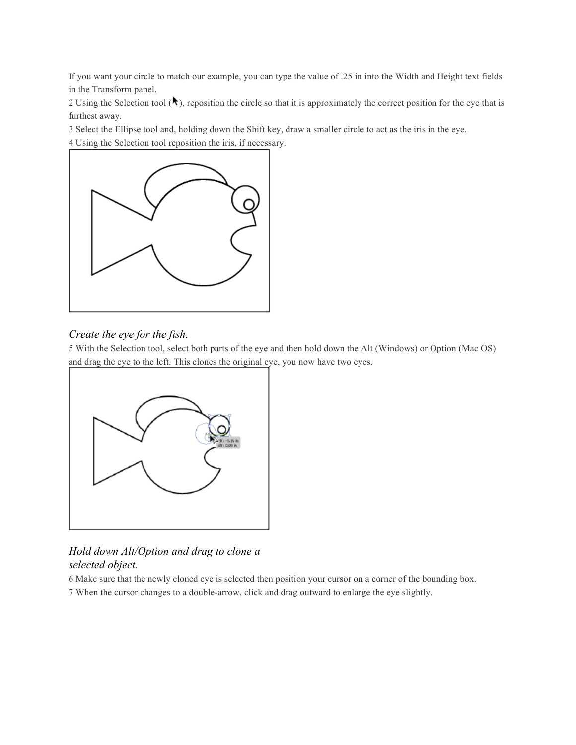If you want your circle to match our example, you can type the value of .25 in into the Width and Height text fields in the Transform panel.

2 Using the Selection tool  $(\lambda)$ , reposition the circle so that it is approximately the correct position for the eye that is furthest away.

3 Select the Ellipse tool and, holding down the Shift key, draw a smaller circle to act as the iris in the eye. 4 Using the Selection tool reposition the iris, if necessary.



### *Create the eye for the fish.*

5 With the Selection tool, select both parts of the eye and then hold down the Alt (Windows) or Option (Mac OS) and drag the eye to the left. This clones the original eye, you now have two eyes.



### *Hold down Alt/Option and drag to clone a selected object.*

6 Make sure that the newly cloned eye is selected then position your cursor on a corner of the bounding box.

7 When the cursor changes to a double-arrow, click and drag outward to enlarge the eye slightly.